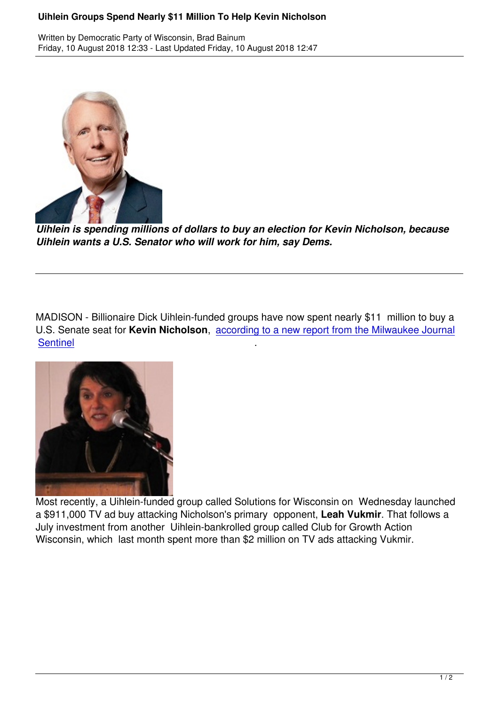

*Uihlein is spending millions of dollars to buy an election for Kevin Nicholson, because Uihlein wants a U.S. Senator who will work for him, say Dems.*

MADISON - Billionaire Dick Uihlein-funded groups have now spent nearly \$11 million to buy a U.S. Senate seat for **Kevin Nicholson**, according to a new report from the Milwaukee Journal **Sentinel** 



Most recently, a Uihlein-funded group called Solutions for Wisconsin on Wednesday launched a \$911,000 TV ad buy attacking Nicholson's primary opponent, **Leah Vukmir**. That follows a July investment from another Uihlein-bankrolled group called Club for Growth Action Wisconsin, which last month spent more than \$2 million on TV ads attacking Vukmir.